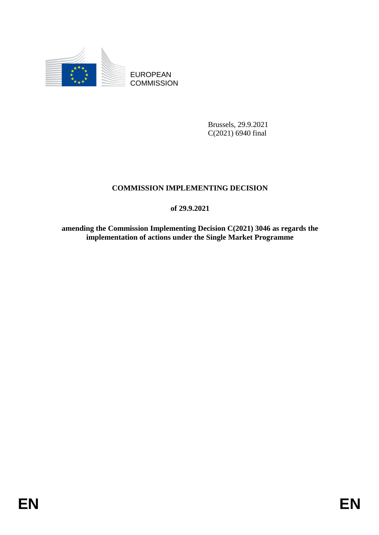

EUROPEAN **COMMISSION** 

> Brussels, 29.9.2021 C(2021) 6940 final

# **COMMISSION IMPLEMENTING DECISION**

**of 29.9.2021**

**amending the Commission Implementing Decision C(2021) 3046 as regards the implementation of actions under the Single Market Programme**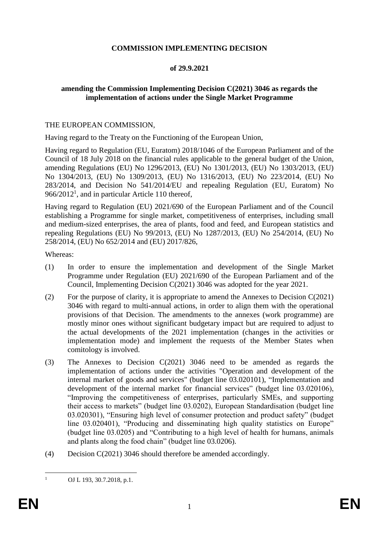## **COMMISSION IMPLEMENTING DECISION**

### **of 29.9.2021**

## **amending the Commission Implementing Decision C(2021) 3046 as regards the implementation of actions under the Single Market Programme**

#### THE EUROPEAN COMMISSION,

Having regard to the Treaty on the Functioning of the European Union,

Having regard to Regulation (EU, Euratom) 2018/1046 of the European Parliament and of the Council of 18 July 2018 on the financial rules applicable to the general budget of the Union, amending Regulations (EU) No 1296/2013, (EU) No 1301/2013, (EU) No 1303/2013, (EU) No 1304/2013, (EU) No 1309/2013, (EU) No 1316/2013, (EU) No 223/2014, (EU) No 283/2014, and Decision No 541/2014/EU and repealing Regulation (EU, Euratom) No  $966/2012<sup>1</sup>$ , and in particular Article 110 thereof,

Having regard to Regulation (EU) 2021/690 of the European Parliament and of the Council establishing a Programme for single market, competitiveness of enterprises, including small and medium-sized enterprises, the area of plants, food and feed, and European statistics and repealing Regulations (EU) No 99/2013, (EU) No 1287/2013, (EU) No 254/2014, (EU) No 258/2014, (EU) No 652/2014 and (EU) 2017/826,

Whereas:

- (1) In order to ensure the implementation and development of the Single Market Programme under Regulation (EU) 2021/690 of the European Parliament and of the Council, Implementing Decision C(2021) 3046 was adopted for the year 2021.
- (2) For the purpose of clarity, it is appropriate to amend the Annexes to Decision C(2021) 3046 with regard to multi-annual actions, in order to align them with the operational provisions of that Decision. The amendments to the annexes (work programme) are mostly minor ones without significant budgetary impact but are required to adjust to the actual developments of the 2021 implementation (changes in the activities or implementation mode) and implement the requests of the Member States when comitology is involved.
- (3) The Annexes to Decision C(2021) 3046 need to be amended as regards the implementation of actions under the activities "Operation and development of the internal market of goods and services" (budget line 03.020101), "Implementation and development of the internal market for financial services" (budget line 03.020106), "Improving the competitiveness of enterprises, particularly SMEs, and supporting their access to markets" (budget line 03.0202), European Standardisation (budget line 03.020301), "Ensuring high level of consumer protection and product safety" (budget line 03.020401), "Producing and disseminating high quality statistics on Europe" (budget line 03.0205) and "Contributing to a high level of health for humans, animals and plants along the food chain" (budget line 03.0206).
- (4) Decision C(2021) 3046 should therefore be amended accordingly.

 $\mathbf{1}$ 

OJ L 193, 30.7.2018, p.1.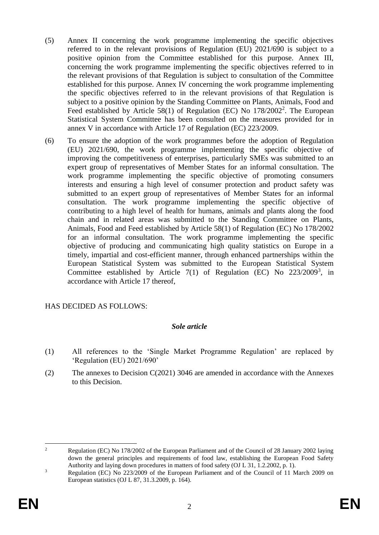- (5) Annex II concerning the work programme implementing the specific objectives referred to in the relevant provisions of Regulation (EU) 2021/690 is subject to a positive opinion from the Committee established for this purpose. Annex III, concerning the work programme implementing the specific objectives referred to in the relevant provisions of that Regulation is subject to consultation of the Committee established for this purpose. Annex IV concerning the work programme implementing the specific objectives referred to in the relevant provisions of that Regulation is subject to a positive opinion by the Standing Committee on Plants, Animals, Food and Feed established by Article 58(1) of Regulation (EC) No 178/2002<sup>2</sup>. The European Statistical System Committee has been consulted on the measures provided for in annex V in accordance with Article 17 of Regulation (EC) 223/2009.
- (6) To ensure the adoption of the work programmes before the adoption of Regulation (EU) 2021/690, the work programme implementing the specific objective of improving the competitiveness of enterprises, particularly SMEs was submitted to an expert group of representatives of Member States for an informal consultation. The work programme implementing the specific objective of promoting consumers interests and ensuring a high level of consumer protection and product safety was submitted to an expert group of representatives of Member States for an informal consultation. The work programme implementing the specific objective of contributing to a high level of health for humans, animals and plants along the food chain and in related areas was submitted to the Standing Committee on Plants, Animals, Food and Feed established by Article 58(1) of Regulation (EC) No 178/2002 for an informal consultation. The work programme implementing the specific objective of producing and communicating high quality statistics on Europe in a timely, impartial and cost-efficient manner, through enhanced partnerships within the European Statistical System was submitted to the European Statistical System Committee established by Article  $7(1)$  of Regulation (EC) No  $223/2009^3$ , in accordance with Article 17 thereof,

# HAS DECIDED AS FOLLOWS:

#### *Sole article*

- (1) All references to the 'Single Market Programme Regulation' are replaced by 'Regulation (EU) 2021/690'
- (2) The annexes to Decision C(2021) 3046 are amended in accordance with the Annexes to this Decision.

 $\overline{2}$ <sup>2</sup> Regulation (EC) No 178/2002 of the European Parliament and of the Council of 28 January 2002 laying down the general principles and requirements of food law, establishing the European Food Safety Authority and laying down procedures in matters of food safety (OJ L 31, 1.2.2002, p. 1).

<sup>&</sup>lt;sup>3</sup> Regulation (EC) No 223/2009 of the European Parliament and of the Council of 11 March 2009 on European statistics (OJ L 87, 31.3.2009, p. 164).